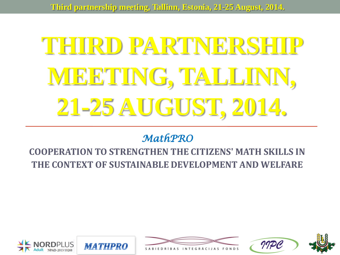# **THIRD PARTNERSHIP MEETING, TALLINN, 21-25 AUGUST, 2014.**

#### *MathPRO*

#### **COOPERATION TO STRENGTHEN THE CITIZENS' MATH SKILLS IN THE CONTEXT OF SUSTAINABLE DEVELOPMENT AND WELFARE**









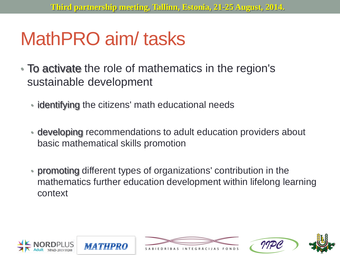## MathPRO aim/ tasks

- To activate the role of mathematics in the region's sustainable development
	- identifying the citizens' math educational needs
	- developing recommendations to adult education providers about basic mathematical skills promotion
	- promoting different types of organizations' contribution in the mathematics further education development within lifelong learning context







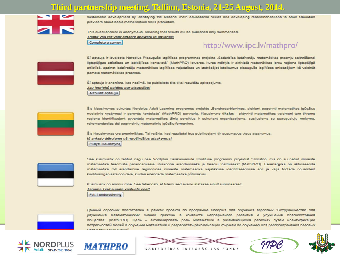

sustainable development by identifying the citizens' math educational needs and developing recommendations to adult education providers about basic mathematical skills promotion.

This questionnaire is anonymous, meaning that results will be published only summarized.<br>
<u>Thank you for your sincere answers in advance!</u><br>
Complete a survey.

#### http://www.iipc.lv/mathpro/



Šī aptauja ir izveidota Nordplus Pieaugušo izglītības programmas projekta "Sadarbība iedzīvotāju matemātikas prasmju sekmēšanai ilgtspējīgas attīstības un labklājības kontekstā" (MathPRO) ietvaros, kuras **mērķi**s ir aktivizēt matemātikas lomu reģiona ilgtspējīgā<br>attīstībā, apzinot iedzīvotāju matemātikas izglītības vajadzības un izstrādājot ieteiku

Šī aptauja ir anonīma, kas nozīmē, ka publiskots tiks tikai rezultātu apkopojums.<br>*Jau iepriekš paldies par atsaucību!* Aizpildīt aptauju



Šis klausimynas sukurtas Nordplus Adult Learning programos projekto "Bendradarbiavimas, siekiant pagerinti matematikos įgūdžius nuolatinio vystymosi ir gerovės kontekste" (MathPRO) partnerių. Klausimyno tikslas - aktyvinti matematikos vaidmenį tam tikrame regione identifikuojant gyventojų matematikos žinių poreikius ir sukuriant organizacijoms, susijusioms su suaugusiųjų mokymu, rekomendacijas dėl pagrindinių matematinių įgūdžių formavimo.

Šis klausimynas yra anonimiškas. Tai reiškia, kad rezultatai bus publikuojami tik susumavus visus atsakymus. Iš anksto dėkojame už nuoširdžius atsakymus! Pildyti klausimyną



See küsimustik on tehtud nagu osa Nordplus Täiskasvanute Koolituse programmi projektist "Koostöö, mis on suunatud inimeste matemaatika teadmiste parandamisele ühiskonna arendamiseks ja heaolu tõstmiseks" (MathPRO). Eesmärgiks on aktiviseerida matemaatika roll arendamise regioonides inimeste matemaatika vajalikkuse identifitseerimise abil ja välja töötada nõuandeid koolitusorganisatsioonidele, kuidas edendada matemaatika põhioskusi.

Küsimustik on anonüümne. See tähendab, et tulemused avalikustatakse ainult summaarselt. Täname Teid ausate vastuste eest!

Fyll i undersökning

Данный опросник подготовлен в рамках проекта по программе Nordplus для обучения взрослых "Сотрудничество для улучшения математических знаний граждан в контексте непрерывного развития и улучшения благосостояния общества" (MathPRO). Цель - активизировать роль математики в развивающихся регионах путём идентификации потребностей людей в обучении математике и разработать рекомендации фирмам по обучению для распространения базовых









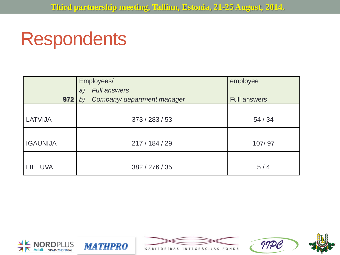### **Respondents**

|                 | Employees/<br><b>Full answers</b><br>a) | employee            |
|-----------------|-----------------------------------------|---------------------|
| 972             | Company/department manager<br>b)        | <b>Full answers</b> |
| LATVIJA         | 373 / 283 / 53                          | 54/34               |
| <b>IGAUNIJA</b> | 217 / 184 / 29                          | 107/97              |
| <b>LIETUVA</b>  | 382 / 276 / 35                          | 5/4                 |







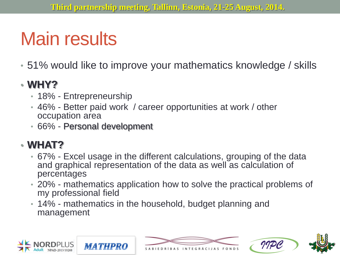# Main results

• 51% would like to improve your mathematics knowledge / skills

#### • **WHY?**

- 18% Entrepreneurship
- 46% Better paid work / career opportunities at work / other occupation area
- 66% Personal development

#### • **WHAT?**

- 67% Excel usage in the different calculations, grouping of the data and graphical representation of the data as well as calculation of percentages
- 20% mathematics application how to solve the practical problems of my professional field
- 14% mathematics in the household, budget planning and management









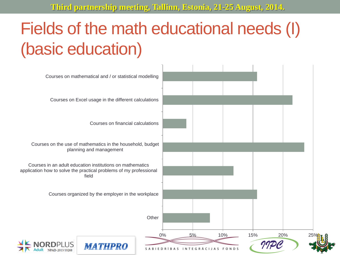### Fields of the math educational needs (I) (basic education)

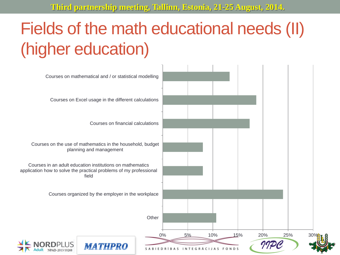### Fields of the math educational needs (II) (higher education)

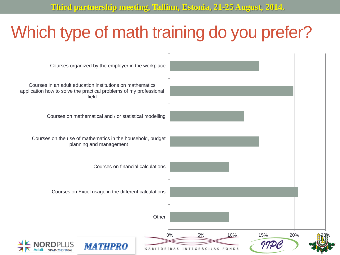#### Which type of math training do you prefer?

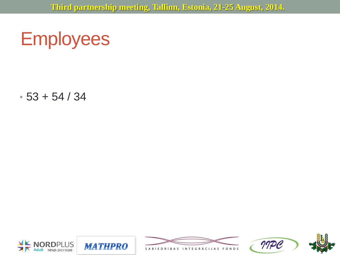## **Employees**

 $• 53 + 54 / 34$ 









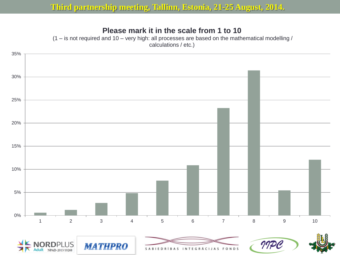#### **Please mark it in the scale from 1 to 10**

 $(1 - is not required and 10 - very high: all processes are based on the mathematical modelling /$ calculations / etc.)

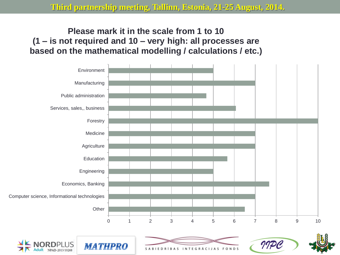#### **Please mark it in the scale from 1 to 10 (1 – is not required and 10 – very high: all processes are based on the mathematical modelling / calculations / etc.)**

NPAD-2013/10268



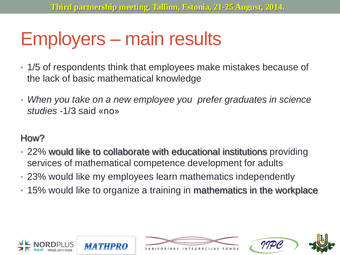# Employers – main results

- 1/5 of respondents think that employees make mistakes because of the lack of basic mathematical knowledge
- *When you take on a new employee you prefer graduates in science studies* -1/3 said «no»

#### How?

- 22% would like to collaborate with educational institutions providing services of mathematical competence development for adults
- 23% would like my employees learn mathematics independently
- 15% would like to organize a training in mathematics in the workplace







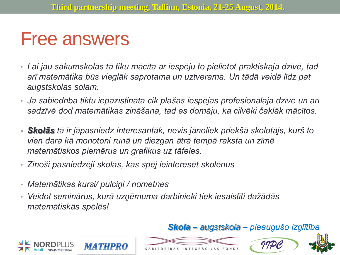### Free answers

- *Lai jau sākumskolās tā tiku mācīta ar iespēju to pielietot praktiskajā dzīvē, tad arī matemātika būs vieglāk saprotama un uztverama. Un tādā veidā līdz pat augstskolas solam.*
- *Ja sabiedrība tiktu iepazīstināta cik plašas iespējas profesionālajā dzīvē un arī sadzīvē dod matemātikas zināšana, tad es domāju, ka cilvēki čaklāk mācītos.*
- *Skolās tā ir jāpasniedz interesantāk, nevis jānoliek priekšā skolotājs, kurš to vien dara kā monotoni runā un diezgan ātrā tempā raksta un zīmē matemātiskos piemērus un grafikus uz tāfeles.*
- *Zinoši pasniedzēji skolās, kas spēj ieinteresēt skolēnus*
- *Matemātikas kursi/ pulciņi / nometnes*
- *Veidot seminārus, kurā uzņēmuma darbinieki tiek iesaistīti dažādās matemātiskās spēlēs!*









*Skola – augstskola – pieaugušo izglītība*